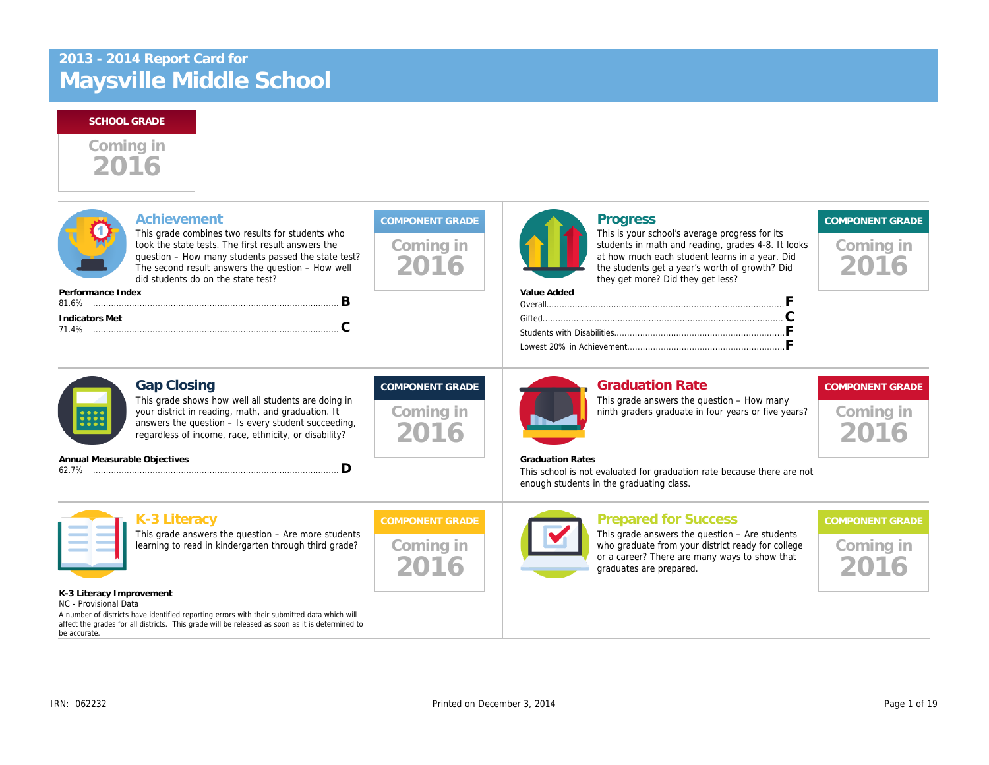

| Coming in<br>2016                           | <b>Progress</b><br>This is your school's average progress f<br>students in math and reading, grades 4-<br>at how much each student learns in a ye<br>the students get a year's worth of growtl<br>they get more? Did they get less?<br>Value Added |
|---------------------------------------------|----------------------------------------------------------------------------------------------------------------------------------------------------------------------------------------------------------------------------------------------------|
|                                             |                                                                                                                                                                                                                                                    |
| <b>COMPONENT GRADE</b><br>Coming in<br>2016 | <b>Graduation Rate</b><br>This grade answers the question - How<br>ninth graders graduate in four years or f                                                                                                                                       |
|                                             | <b>Graduation Rates</b><br>This school is not evaluated for graduation rate because th<br>enough students in the graduating class.                                                                                                                 |
| <b>COMPONENT GRADE</b><br>Coming in<br>2016 | <b>Prepared for Success</b><br>This grade answers the question $-$ Are $s$<br>who graduate from your district ready fo<br>or a career? There are many ways to sh<br>graduates are prepared.                                                        |
|                                             |                                                                                                                                                                                                                                                    |
|                                             |                                                                                                                                                                                                                                                    |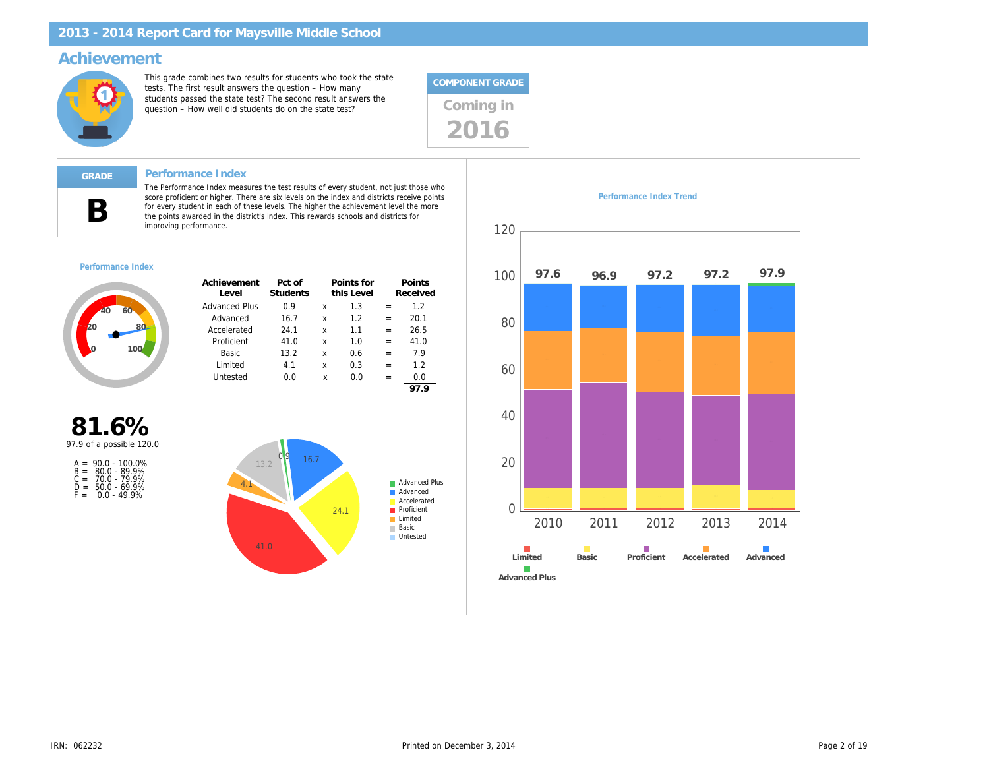### Achievement

This grade combines two results for students who took the state tests. The first result answers the question – How many students passed the state test? The second result answers the students passed the state test? The second result answers the  $q$  Coming in



#### Performance Index

The Performance Index measures the test results of every student, not just those who score proficient or higher. There are six levels on the index and districts receive points for every student in each of these levels. The higher the achievement level the more the points awarded in the district's index. This rewards schools and districts for improving performance.

#### Performance Index

B

| Achievement<br>Level | Pct of<br><b>Students</b> |   | Points for<br>this Level |     | Points<br>Received |
|----------------------|---------------------------|---|--------------------------|-----|--------------------|
| Advanced Plus        | 0.9                       | x | 1.3                      |     | 1.2                |
| Advanced             | 16.7                      | x | 12                       | $=$ | 20.1               |
| Accelerated          | 24.1                      | x | 11                       | $=$ | 26.5               |
| Proficient           | 41.0                      | x | 1.0                      | $=$ | 41.0               |
| Basic                | 13.2                      | x | 0.6                      | $=$ | 7.9                |
| Limited              | 41                        | x | 0.3                      | $=$ | 12                 |
| Untested             | 0.0                       | x | 0.0                      |     | 0.0                |
|                      |                           |   |                          |     | 97.9               |

81.6% 97.9 of a possible 120.0

| $A =$ | $90.0 - 100.0\%$ |
|-------|------------------|
| $B =$ | $80.0 - 89.9%$   |
| C =   | 70.0 - 79.9%     |
| D =   | $50.0 - 69.9%$   |
| $F =$ | $0.0 - 49.9%$    |

Performance Index Trend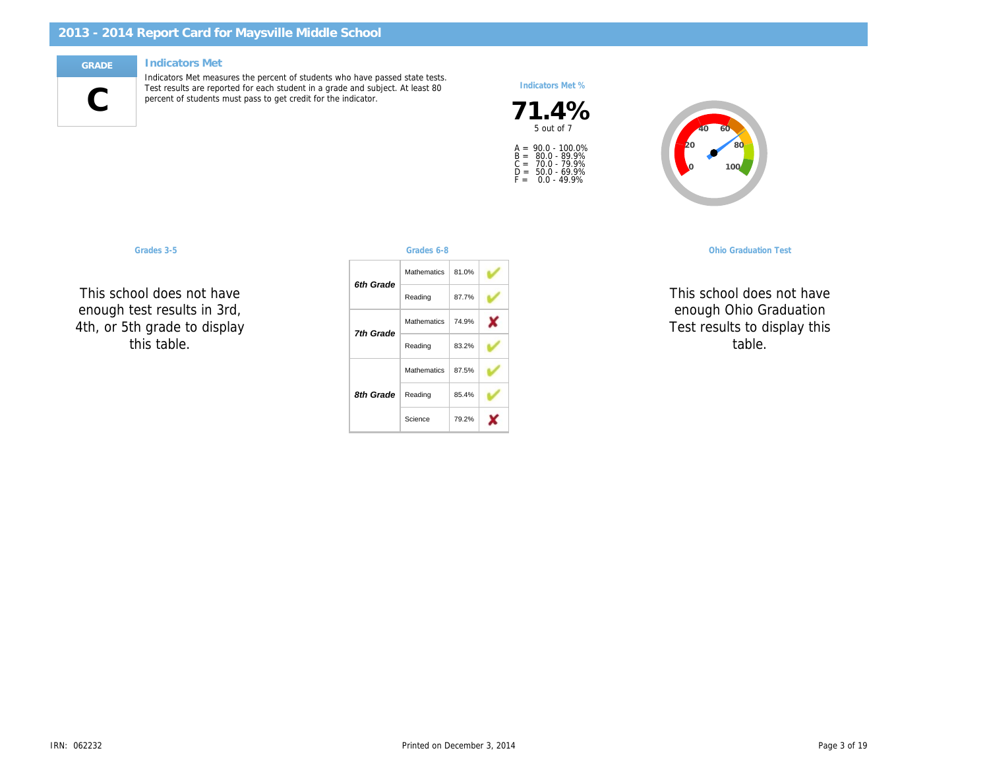#### Indicators Met

C

Indicators Met measures the percent of students who have passed state tests. Test results are reported for each student in a grade and subject. At least 80 percent of students must pass to get credit for the indicator.

#### Indicators Met %

71.4% A =<br>B =<br>C =<br>D =<br>F = 90.0 - 100.0% 80.0 - 89.9% 70.0 - 79.9% 50.0 - 69.9% 0.0 - 49.9%

This school do 5th Grade Reading וטטו ג enough test results in 3rd, :n ar: This school does not have  $\ddotsc$ 4th, or 5th grade to display this table.

| Grades 3-5                                                                   |           | Grades 6-8           |                                    |  | <b>Ohio Graduatio</b> |
|------------------------------------------------------------------------------|-----------|----------------------|------------------------------------|--|-----------------------|
|                                                                              |           | Mathematics          | 81.0%                              |  |                       |
| ool does not have<br>est results in 3rd,<br>n grade to display<br>his table. | 6th Grade | Reading              | 87.7%                              |  | This school doe       |
|                                                                              | 7th Grade | Mathematics<br>74.9% | enough Ohio Q<br>Test results to d |  |                       |
|                                                                              |           | Reading              | 83.2%                              |  | table                 |
|                                                                              |           | Mathematics          | 87.5%                              |  |                       |
|                                                                              | 8th Grade | Reading              | 85.4%                              |  |                       |
|                                                                              |           | Science              | 79.2%                              |  |                       |

OGT, 10th Graders Science This school doe enough Ohio G  $\mathbb{R}$ Test results to d Science table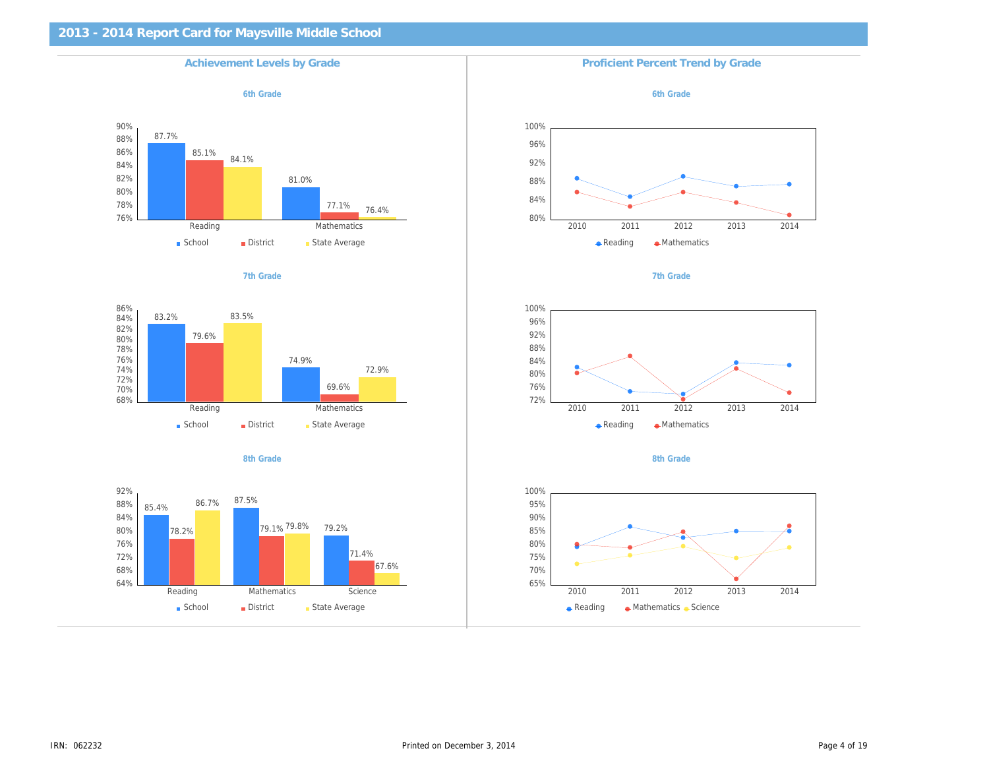| <b>Achievement Levels by Grade</b> | <b>Proficient Percent Trend by Grade</b> |
|------------------------------------|------------------------------------------|
| 6th Grade                          | 6th Grade                                |
|                                    |                                          |
|                                    |                                          |
|                                    |                                          |
|                                    |                                          |
| 7th Grade                          | 7th Grade                                |
|                                    |                                          |
|                                    |                                          |
|                                    |                                          |
|                                    |                                          |
| 8th Grade                          | 8th Grade                                |
|                                    |                                          |
|                                    |                                          |
|                                    |                                          |
|                                    |                                          |
|                                    |                                          |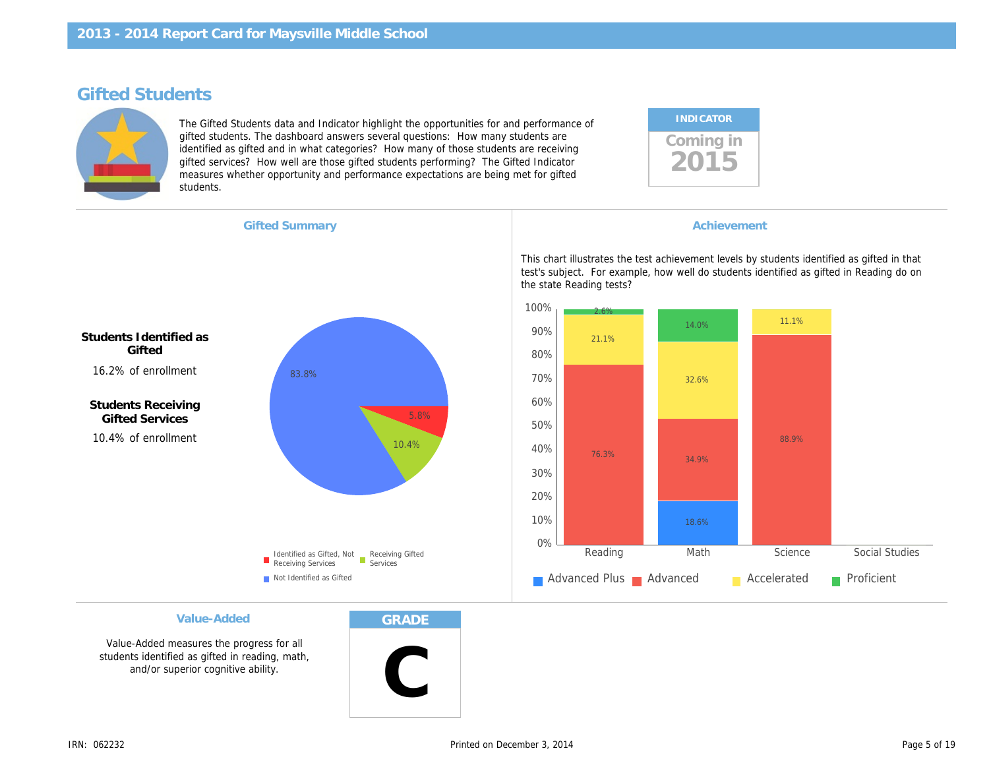# Gifted Students

The Gifted Students data and Indicator highlight the opportunities for and performance of gifted students. The dashboard answers several questions: How many students are identified as gifted and in what categories? How many of those students are receiving gifted services? How well are those gifted students performing? The Gifted Indicator measures whether opportunity and performance expectations are being met for gifted students.

| <b>INDICATOR</b> |  |
|------------------|--|
| Coming in        |  |

|  | <b>Gifted Summary</b> |  |
|--|-----------------------|--|
|  |                       |  |

**Achievement** 

This chart illustrates the test achievement levels by s test's subject. For example, how well do students identified the state Reading tests?

Students Identified as **Gifted** 16.2% of enrollment

Students Receiving Gifted Services 10.4% of enrollment

Value-Added

Value-Added measures the progress for all students identified as gifted in reading, math, and/or superior cognitive ability.

GRADE

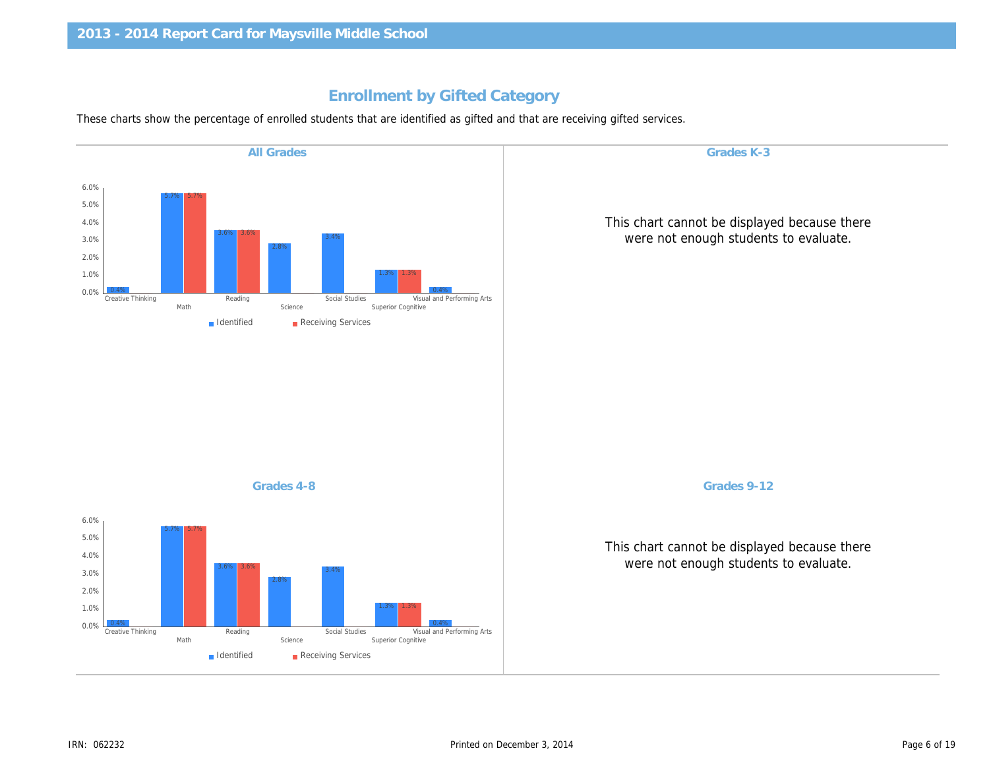# Enrollment by Gifted Category

These charts show the percentage of enrolled students that are identified as gifted and that are receiving gifted services.

| Grades K-3                  | <b>All Grades</b> |
|-----------------------------|-------------------|
|                             |                   |
| This chart cannot be displa |                   |
| were not enough studer      |                   |
|                             |                   |
|                             |                   |
|                             |                   |
|                             |                   |
|                             |                   |
|                             |                   |
|                             | Grades 4-8        |
| Grades 9-12                 |                   |
| This chart cannot be displa |                   |
| were not enough studer      |                   |
|                             |                   |
|                             |                   |
|                             |                   |
|                             |                   |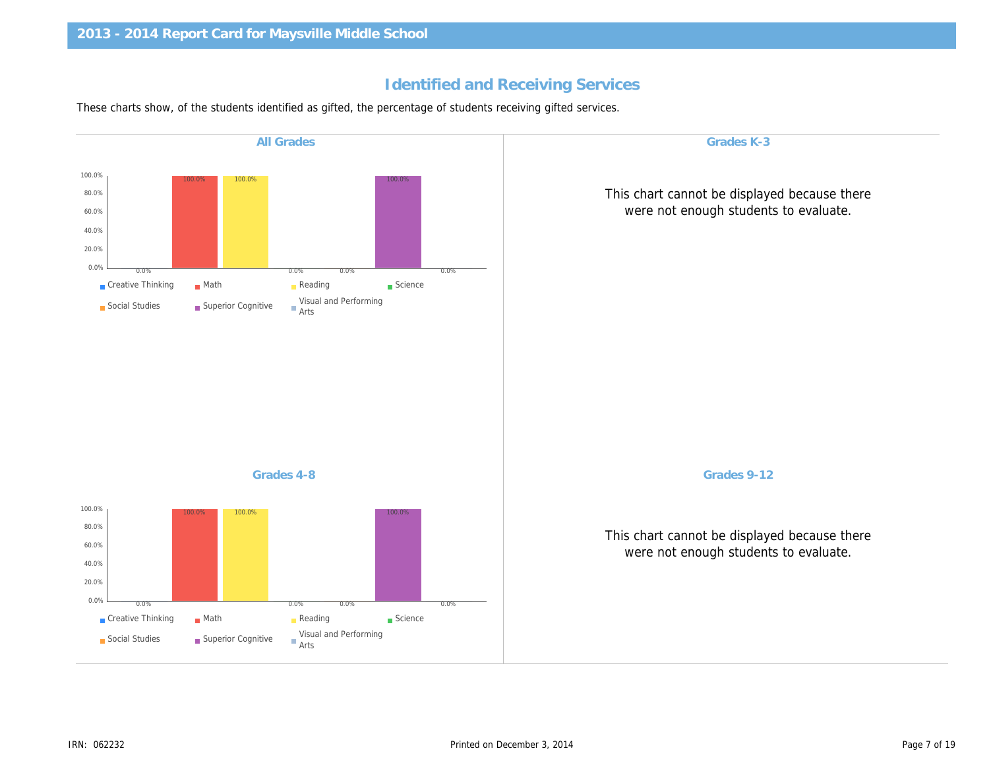# Identified and Receiving Services

These charts show, of the students identified as gifted, the percentage of students receiving gifted services.

| Grades K-3<br><b>All Grades</b>                       |
|-------------------------------------------------------|
|                                                       |
| This chart cannot be displa<br>were not enough studer |
|                                                       |
|                                                       |
|                                                       |
|                                                       |
|                                                       |
| Grades 9-12<br>Grades 4-8                             |
| This chart cannot be displa<br>were not enough studer |
|                                                       |
|                                                       |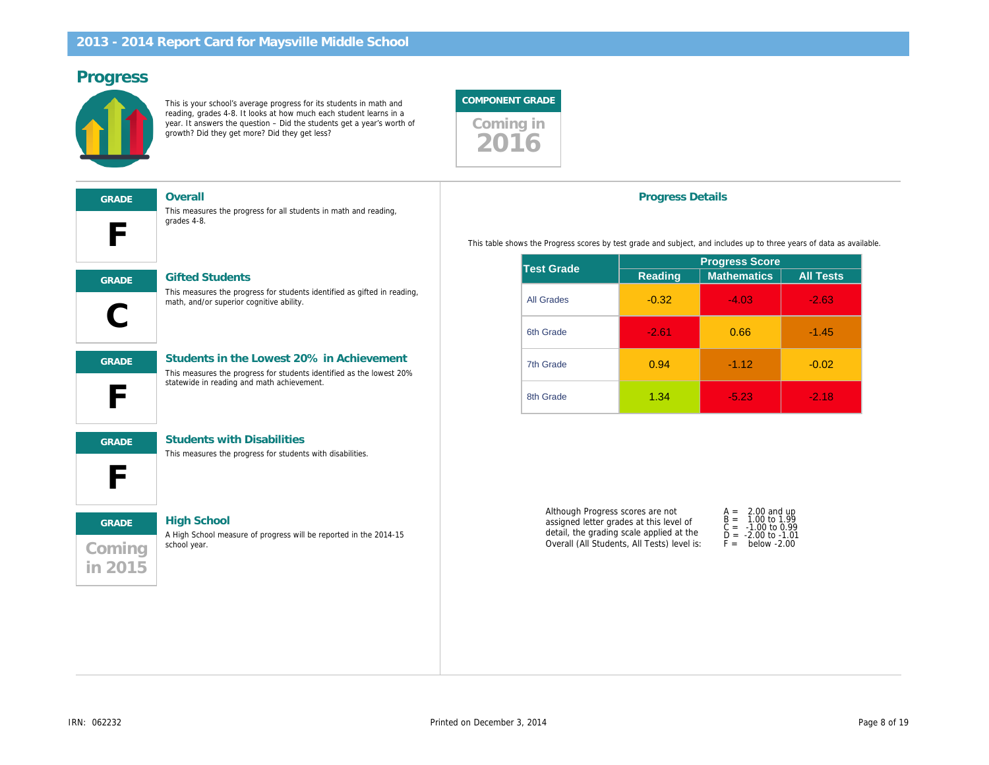## Progress

This is your school's average progress for its students in math and reading, grades 4-8. It looks at how much each student learns in a year. It answers the question – Did the students get a year's worth of growth? Did they get more? Did they get less?



| <b>GRADE</b> |  |  |  |  |
|--------------|--|--|--|--|
|              |  |  |  |  |

Overall

This measures the progress for all students in math and reading, grades 4-8.



GRADE Gifted Students

This measures the progress for students identified as gifted in reading, math, and/or superior cognitive ability.

This measures the progress for students identified as the lowest 20%

F GRADE Students in the Lowest 20% in Achievement

#### statewide in reading and math achievement.



GRADE Students with Disabilities

This measures the progress for students with disabilities.

# **Coming** in 2015 GRADE High School

A High School measure of progress will be reported in the 2014-15 school year.

#### Progress Details

This table shows the Progress scores by test grade and subject, and includes up to

| <b>Test Grade</b> | <b>Progress Sco</b> |                   |  |
|-------------------|---------------------|-------------------|--|
|                   | Reading             | <b>Mathematic</b> |  |
| <b>All Grades</b> | $-0.32$             | $-4.03$           |  |
| 6th Grade         | $-2.61$             | 0.66              |  |
| 7th Grade         | 0.94                | $-1.12$           |  |
| 8th Grade         | 1.34                | $-5.23$           |  |

Although Progress scores are not assigned letter grades at this level of detail, the grading scale applied at the Overall (All Students, All Tests) level is:

| A =          | 2.00            |  |
|--------------|-----------------|--|
| $B =$<br>C = | 1.00<br>$-1.00$ |  |
| Ď =<br>F =   | $-2.00$<br>bela |  |
|              |                 |  |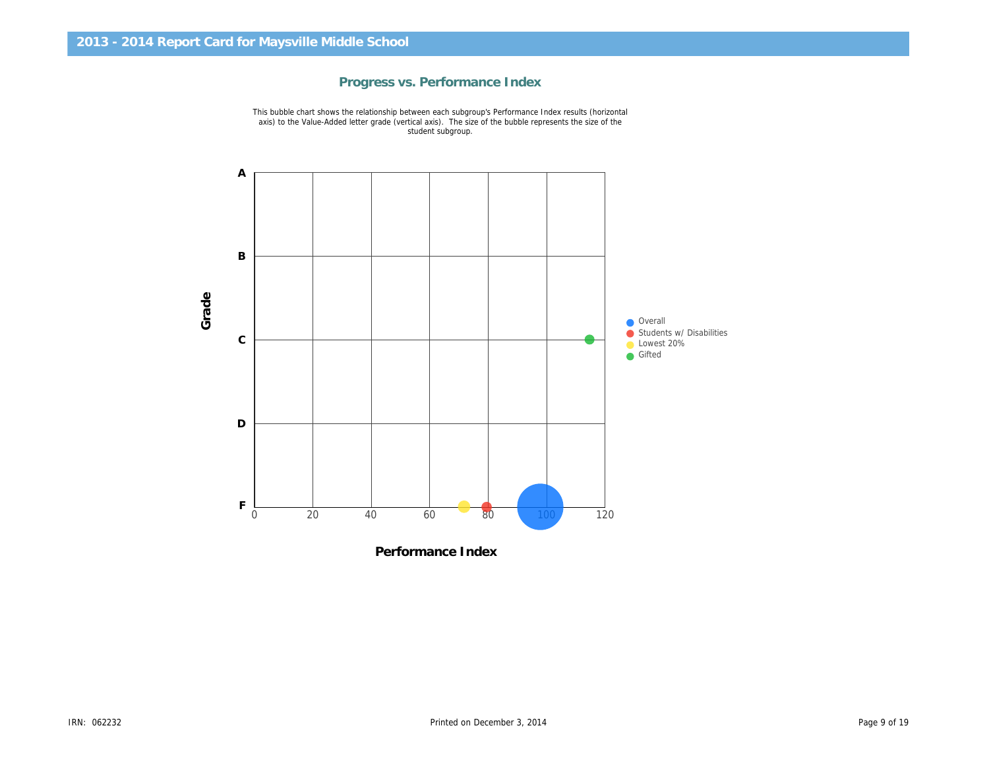

Progress vs. Performance Index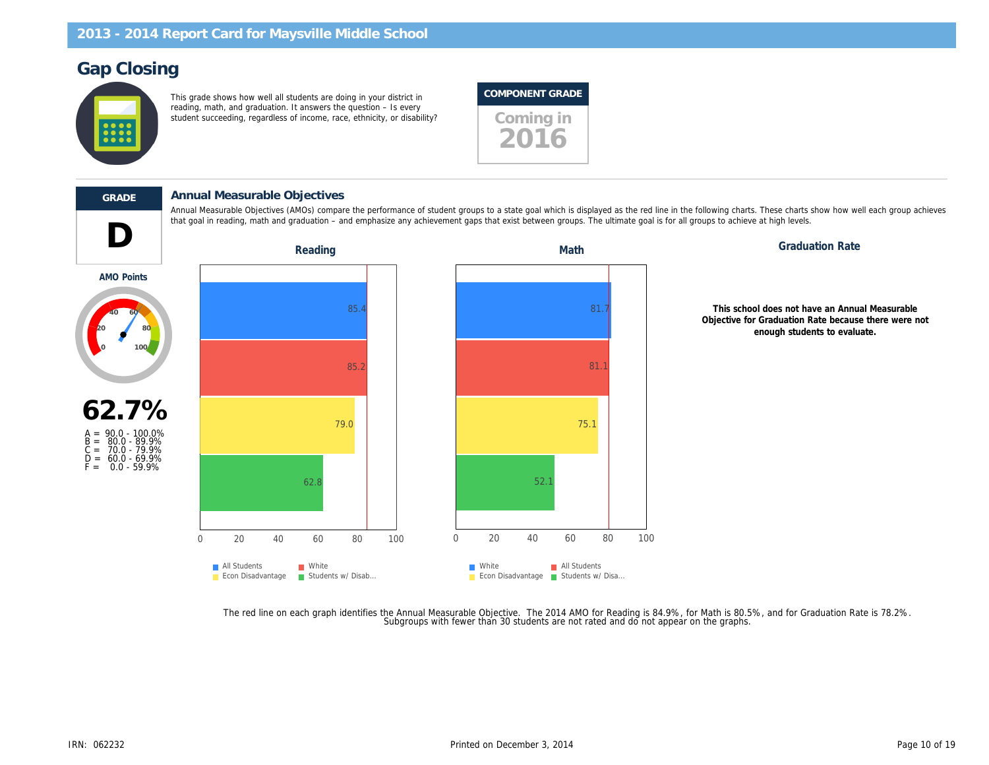# Gap Closing

This grade shows how well all students are doing in your district in reading, math, and graduation. It answers the question – Is every student succeeding, regardless of income, race, ethnicity, or disability? Coming in

## COMPONENT GRADE

2016

D

AMO Points

#### GRADE Annual Measurable Objectives

Annual Measurable Objectives (AMOs) compare the performance of student groups to a state goal which is displayed as the red line in the following charts. T that goal in reading, math and graduation – and emphasize any achievement gaps that exist between groups. The ultimate goal is for all groups to achieve at

Reading **Math** Graduation Reading Math Graduation Math

This school Objective for G en



The red line on each graph identifies the Annual Measurable Objective. The 2014 AMO for Reading is 84.9%, for Math is 80.5%,<br>.Subgroups with fewer than 30 students are not rated and do not appear on the graphs.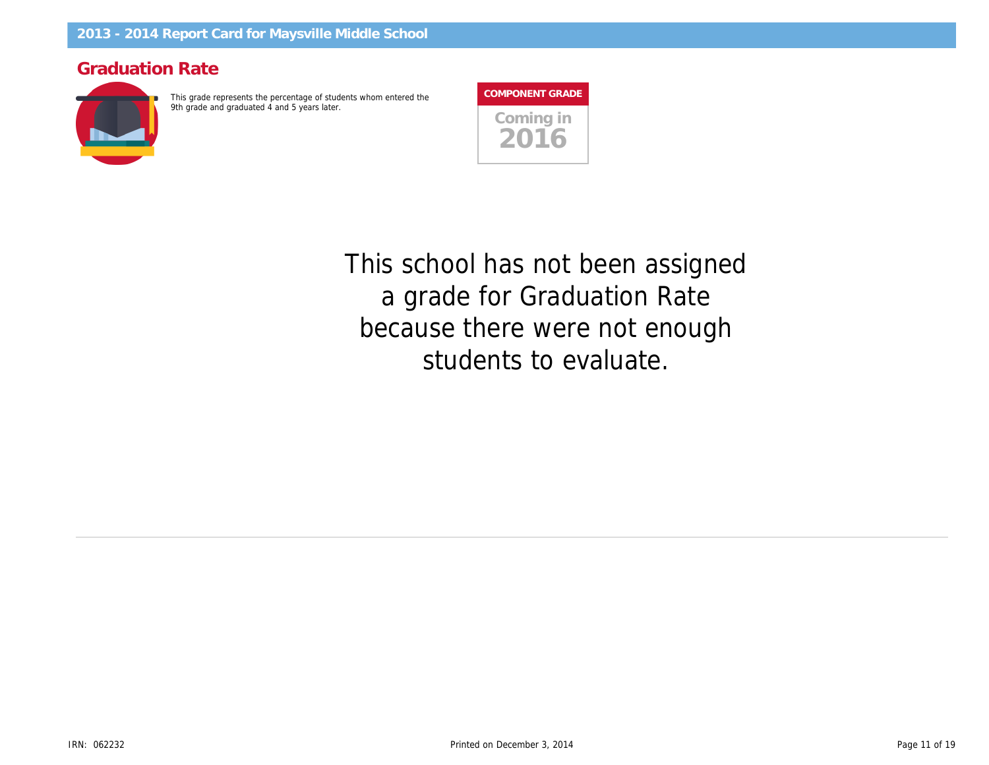# Graduation Rate

This grade represents the percentage of students whom entered the 9th grade and graduated 4 and 5 years later.

| <b>COMPONENT GRADE</b> |
|------------------------|
| Coming in<br>OT        |

This school has not been assigned a grade for Graduation Rate because there were not enough students to evaluate.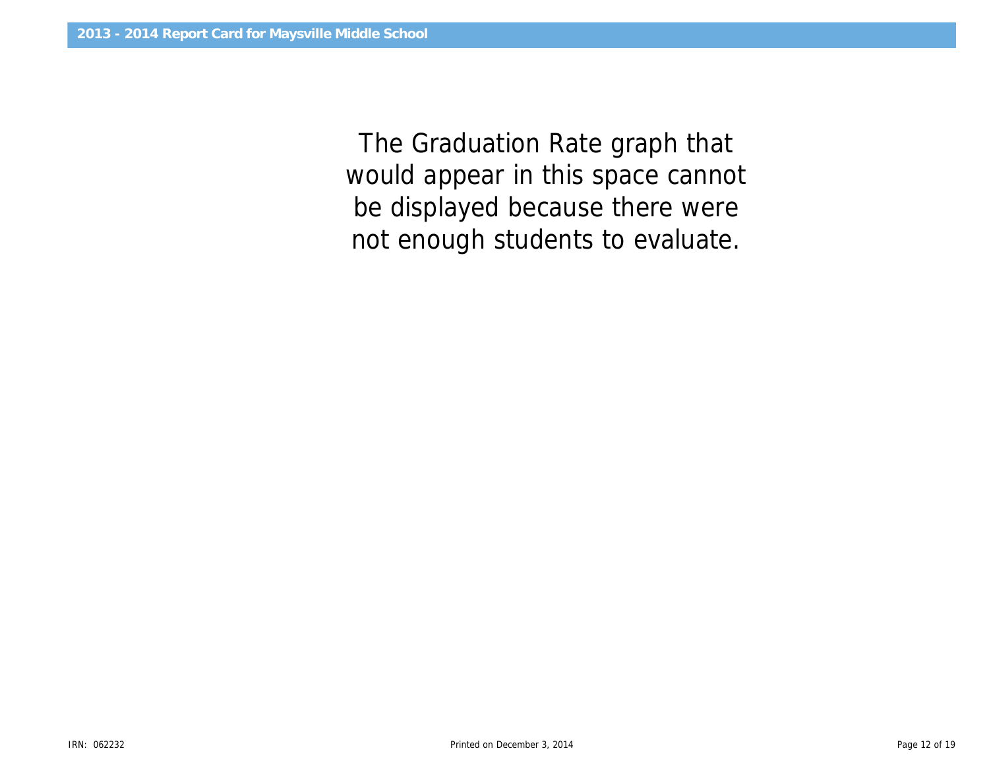would appear in this space cannot The Graduation Rate graph that be displayed because there were not enough students to evaluate.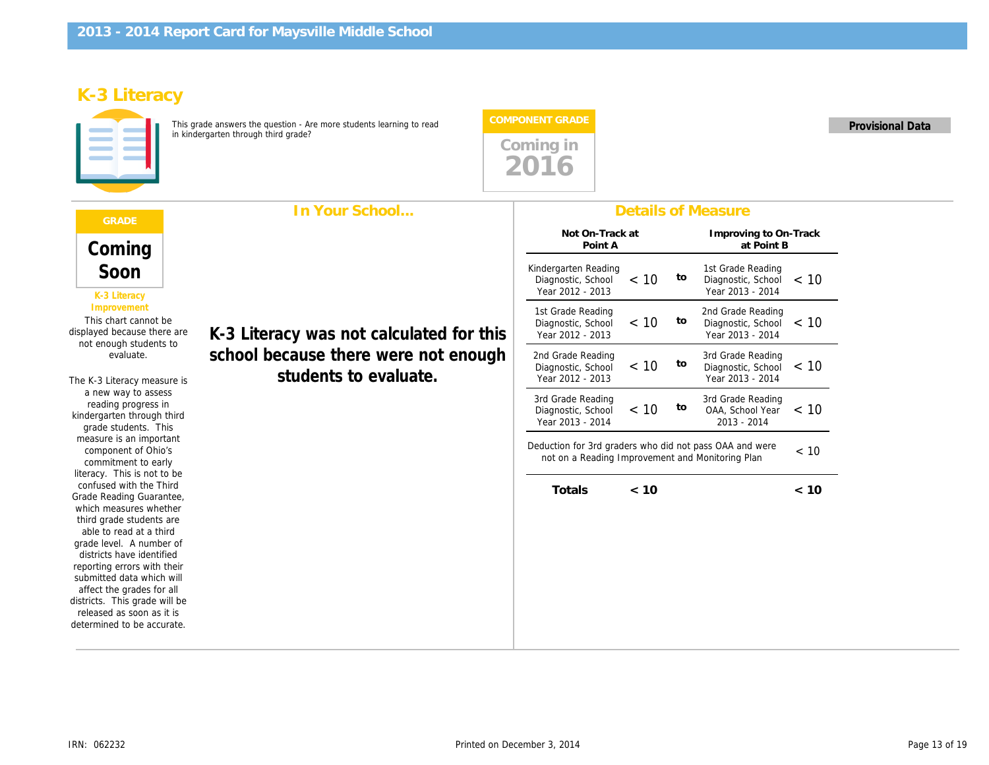# K-3 Literacy

This grade answers the question - Are more students learning to read in kindergarten through third grade?



|                                                                                                                                                                                                                   | In Your School                                                                                            |                                                                                                           |         |    | <b>Details of Measure</b>                        |
|-------------------------------------------------------------------------------------------------------------------------------------------------------------------------------------------------------------------|-----------------------------------------------------------------------------------------------------------|-----------------------------------------------------------------------------------------------------------|---------|----|--------------------------------------------------|
| Coming                                                                                                                                                                                                            |                                                                                                           | Not On-Track at<br>Point A                                                                                |         |    | Improving to<br>at Poi                           |
| Soon<br>K-3 Literacy                                                                                                                                                                                              |                                                                                                           | Kindergarten Reading<br>Diagnostic, School<br>Year 2012 - 2013                                            | < 10    | to | 1st Grade Rea<br>Diagnostic, So<br>Year 2013 - 2 |
| Improvement<br>This chart cannot be<br>displayed because there are<br>not enough students to<br>evaluate.<br>The K-3 Literacy measure is                                                                          | K-3 Literacy was not calculated for this<br>school because there were not enough<br>students to evaluate. | 1st Grade Reading<br>Diagnostic, School<br>Year 2012 - 2013                                               | $~<$ 10 | to | 2nd Grade Rea<br>Diagnostic, So<br>Year 2013 - 2 |
|                                                                                                                                                                                                                   |                                                                                                           | 2nd Grade Reading<br>Diagnostic, School<br>Year 2012 - 2013                                               | $~<$ 10 | to | 3rd Grade Rea<br>Diagnostic, So<br>Year 2013 - 2 |
| a new way to assess<br>reading progress in<br>kindergarten through third<br>grade students. This                                                                                                                  |                                                                                                           | 3rd Grade Reading<br>Diagnostic, School<br>Year 2013 - 2014                                               | $~<$ 10 | to | 3rd Grade Rea<br>OAA, School<br>$2013 - 201$     |
| measure is an important<br>component of Ohio's<br>commitment to early<br>literacy. This is not to be<br>confused with the Third<br>Grade Reading Guarantee,<br>which measures whether<br>third grade students are |                                                                                                           | Deduction for 3rd graders who did not pass OAA and we<br>not on a Reading Improvement and Monitoring Plan |         |    |                                                  |
|                                                                                                                                                                                                                   |                                                                                                           | Totals                                                                                                    | < 10    |    |                                                  |
| able to read at a third<br>grade level. A number of<br>districts have identified<br>reporting errors with their                                                                                                   |                                                                                                           |                                                                                                           |         |    |                                                  |
| submitted data which will<br>affect the grades for all<br>districts. This grade will be<br>released as soon as it is<br>determined to be accurate.                                                                |                                                                                                           |                                                                                                           |         |    |                                                  |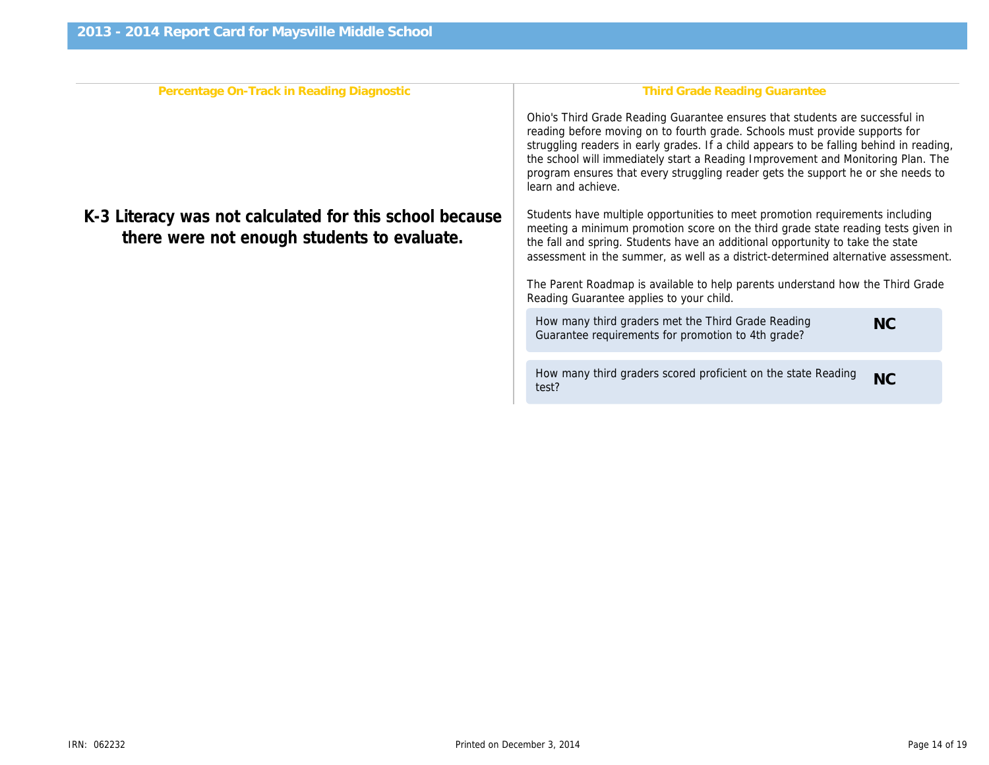| Percentage On-Track in Reading Diagnostic                                                              | <b>Third Grade Reading Gr</b>                                                                                                                                                                                                                                                  |
|--------------------------------------------------------------------------------------------------------|--------------------------------------------------------------------------------------------------------------------------------------------------------------------------------------------------------------------------------------------------------------------------------|
|                                                                                                        | Ohio's Third Grade Reading Guarantee ensure<br>reading before moving on to fourth grade. Scho<br>struggling readers in early grades. If a child ap<br>the school will immediately start a Reading Imp<br>program ensures that every struggling reader of<br>learn and achieve. |
| K-3 Literacy was not calculated for this school because<br>there were not enough students to evaluate. | Students have multiple opportunities to meet p<br>meeting a minimum promotion score on the thi<br>the fall and spring. Students have an additional<br>assessment in the summer, as well as a distric                                                                           |
|                                                                                                        | The Parent Roadmap is available to help parer<br>Reading Guarantee applies to your child.                                                                                                                                                                                      |
|                                                                                                        | How many third graders met the Third Grade<br>Guarantee requirements for promotion to 4th                                                                                                                                                                                      |
|                                                                                                        | How many third graders scored proficient on<br>test?                                                                                                                                                                                                                           |
|                                                                                                        |                                                                                                                                                                                                                                                                                |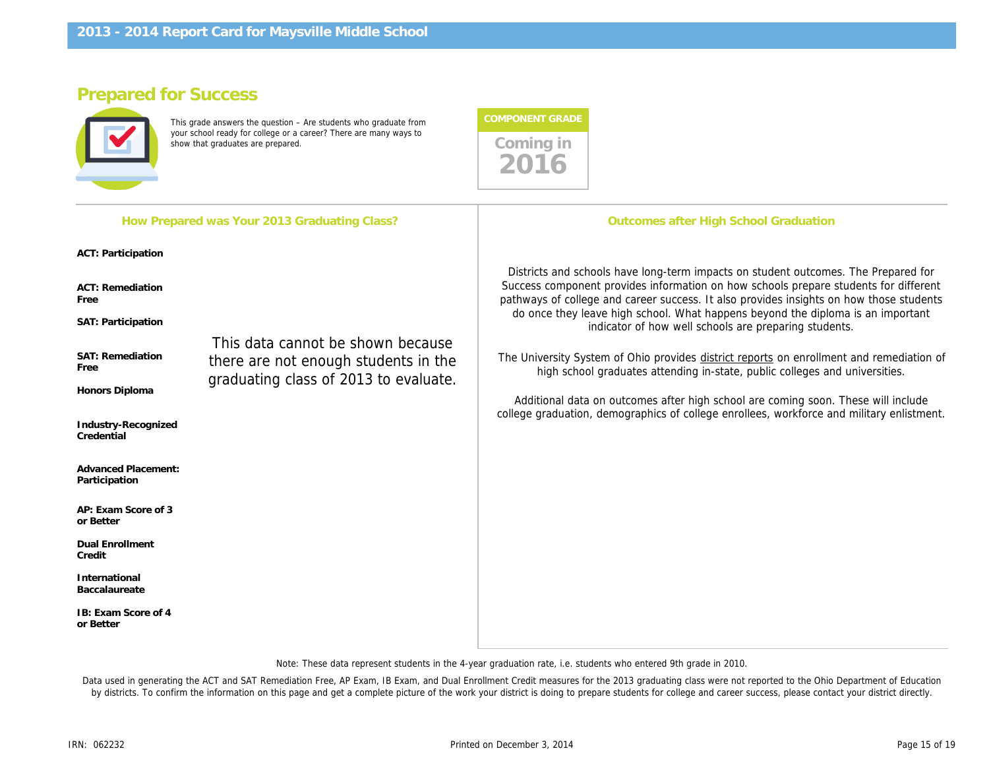How Prepared was Your 2013 Graduating Class?

# Prepared for Success

This grade answers the question – Are students who graduate from your school ready for college or a career? There are many ways to show that graduates are prepared. These are mainly ways to comming in Coming in



**Outcomes after High School G** 

ACT: Participation

ACT: Remediation Free

SAT: Participation

SAT: Remediation Free

Honors Diploma

Industry-Recognized **Credential** 

Advanced Placement: Participation

AP: Exam Score of 3 or Better

Dual Enrollment Credit

International Baccalaureate

IB: Exam Score of 4 or Better

This data cannot be shown because there are not enough students in the graduating class of 2013 to evaluate.

Districts and schools have long-term impacts on student Success component provides information on how so pathways of college and career success. It also prov do once they leave high school. What happens be indicator of how well schools are pr

The University System of Ohio provides district report high school graduates attending in-state, pub

Additional data on outcomes after high school are college graduation, demographics of college enrollee

Note: These data represent students in the 4-year graduation rate, i.e. students who entered 9th grade in 2010.

Data used in generating the ACT and SAT Remediation Free, AP Exam, IB Exam, and Dual Enrollment Credit measures for the 2013 graduating class were not re by districts. To confirm the information on this page and get a complete picture of the work your district is doing to prepare students for college and career succes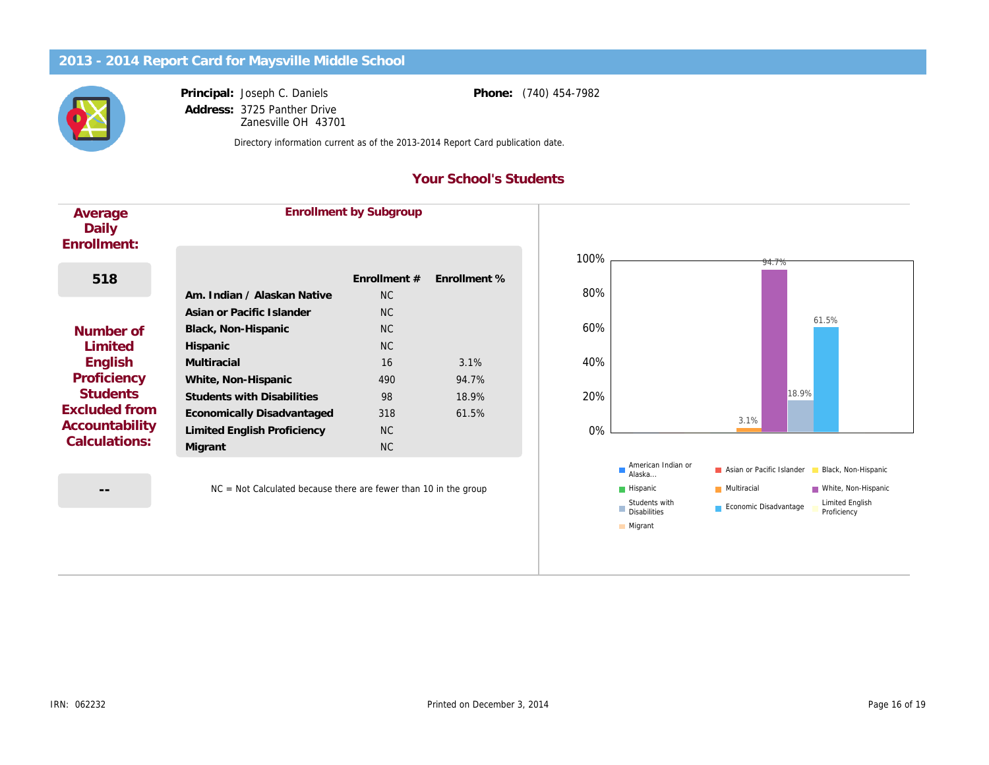Principal: Address: Joseph C. Daniels 3725 Panther Drive Zanesville OH 43701 Phone: (740) 454-7982

Directory information current as of the 2013-2014 Report Card publication date.

### Your School's Students

| Average<br>Daily<br>Enrollment: |                                   | <b>Enrollment by Subgroup</b> |              |
|---------------------------------|-----------------------------------|-------------------------------|--------------|
| 518                             | Am. Indian / Alaskan Native       | Enrollment #<br>NC.           | Enrollment % |
|                                 | Asian or Pacific Islander         | NC.                           |              |
| Number of                       | Black, Non-Hispanic               | NC.                           |              |
| Limited                         | Hispanic                          | N <sub>C</sub>                |              |
| English                         | Multiracial                       | 16                            | 3.1%         |
| Proficiency                     | White, Non-Hispanic               | 490                           | 94.7%        |
| <b>Students</b>                 | <b>Students with Disabilities</b> | 98                            | 18.9%        |
| Excluded from                   | Economically Disadvantaged        | 318                           | 61.5%        |
| Accountability                  | Limited English Proficiency       | NC.                           |              |
| Calculations:                   | Migrant                           | NC.                           |              |

--

NC = Not Calculated because there are fewer than 10 in the group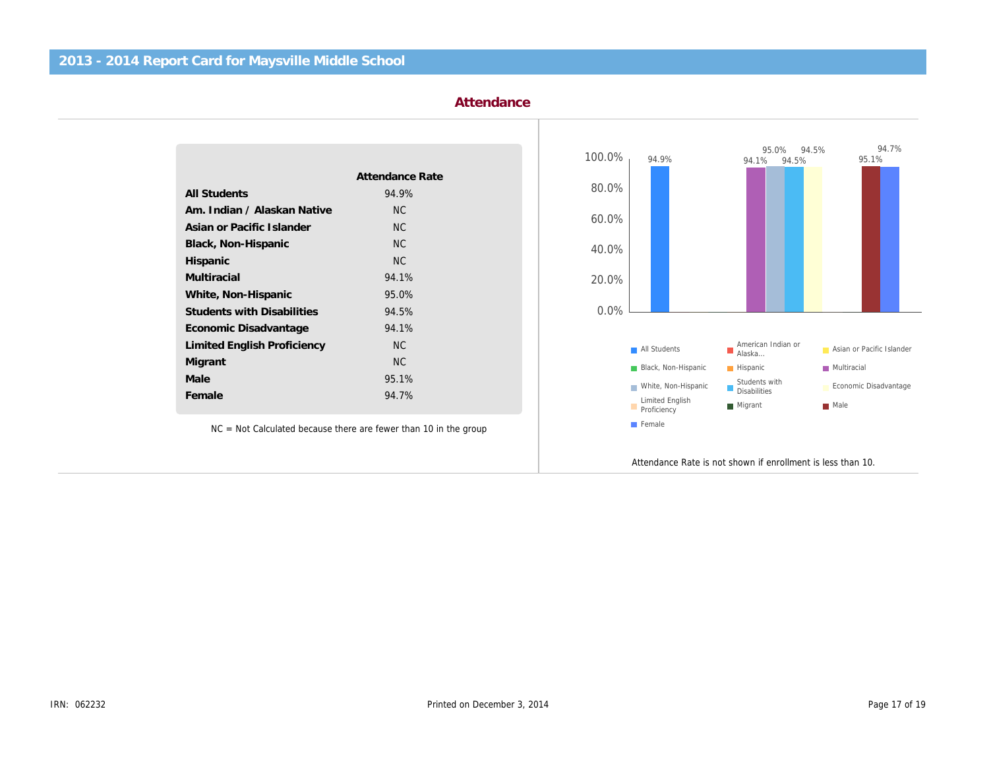#### Attendance

| Attendance Rate |
|-----------------|
| 94.9%           |
| N <sub>C</sub>  |
| <b>NC</b>       |
| <b>NC</b>       |
| <b>NC</b>       |
| 94.1%           |
| 95.0%           |
| 94.5%           |
| 94.1%           |
| <b>NC</b>       |
| <b>NC</b>       |
| 95.1%           |
| 94.7%           |
|                 |

NC = Not Calculated because there are fewer than 10 in the group

Attendance Rate is not shown if

l,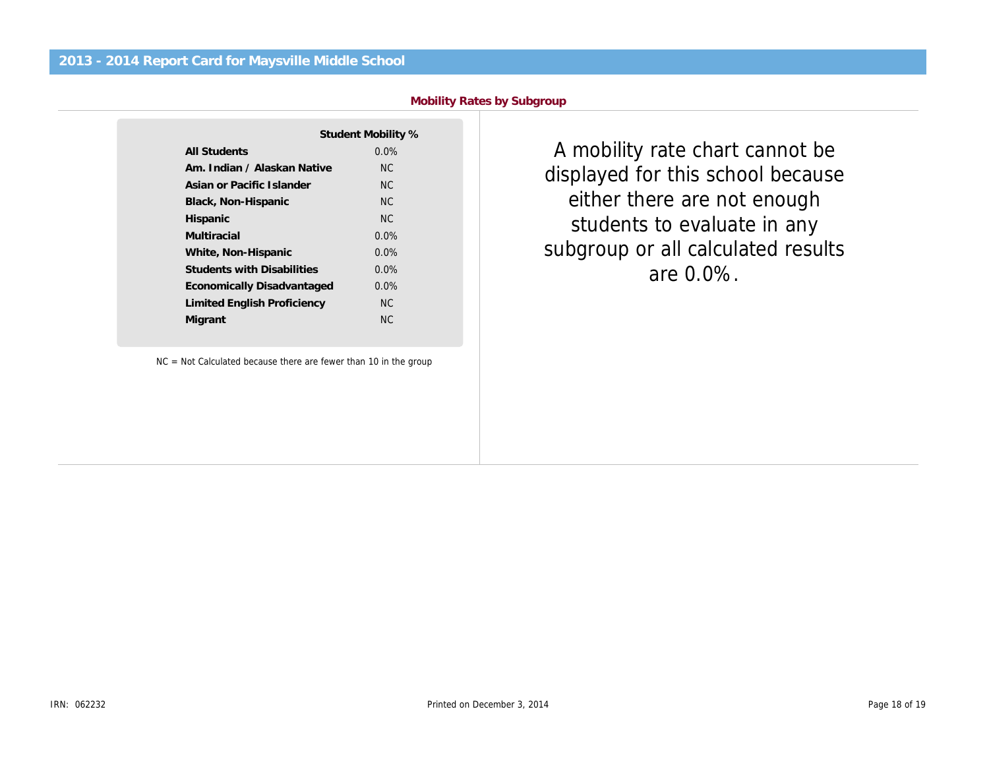|  |  | <b>Mobility Rates by Subgroup</b> |
|--|--|-----------------------------------|
|  |  |                                   |

|                                   | Student Mobility % |
|-----------------------------------|--------------------|
| All Students                      | $0.0\%$            |
| Am. Indian / Alaskan Native       | NC.                |
| Asian or Pacific Islander         | NC.                |
| Black, Non-Hispanic               | NC.                |
| Hispanic                          | NC.                |
| Multiracial                       | $0.0\%$            |
| White, Non-Hispanic               | 0.0%               |
| <b>Students with Disabilities</b> | 0.0%               |
| Economically Disadvantaged        | $0.0\%$            |
| Limited English Proficiency       | NC.                |
| Migrant                           | NC.                |
|                                   |                    |

NC = Not Calculated because there are fewer than 10 in the group

A mobility rate chart ca displayed for this school either there are not en students to evaluate i subgroup or all calculate are 0.0%.